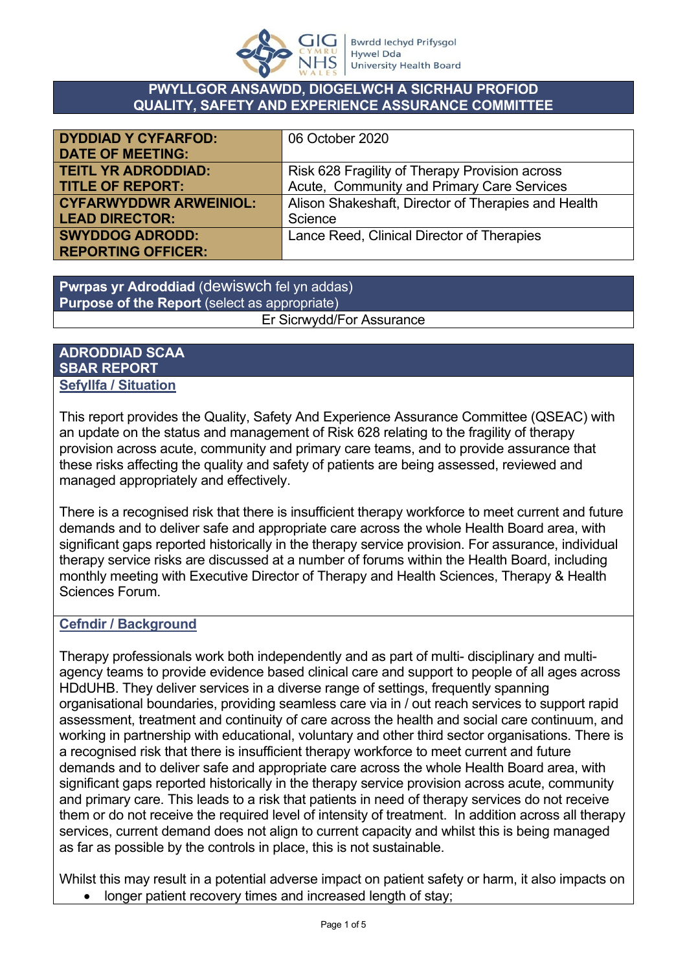

#### **PWYLLGOR ANSAWDD, DIOGELWCH A SICRHAU PROFIOD QUALITY, SAFETY AND EXPERIENCE ASSURANCE COMMITTEE**

| <b>DYDDIAD Y CYFARFOD:</b>    | 06 October 2020                                     |
|-------------------------------|-----------------------------------------------------|
| <b>DATE OF MEETING:</b>       |                                                     |
| <b>TEITL YR ADRODDIAD:</b>    | Risk 628 Fragility of Therapy Provision across      |
| <b>TITLE OF REPORT:</b>       | Acute, Community and Primary Care Services          |
| <b>CYFARWYDDWR ARWEINIOL:</b> | Alison Shakeshaft, Director of Therapies and Health |
| <b>LEAD DIRECTOR:</b>         | Science                                             |
| <b>SWYDDOG ADRODD:</b>        | Lance Reed, Clinical Director of Therapies          |
| <b>REPORTING OFFICER:</b>     |                                                     |

**Pwrpas yr Adroddiad** (dewiswch fel yn addas) **Purpose of the Report** (select as appropriate) Er Sicrwydd/For Assurance

#### **ADRODDIAD SCAA SBAR REPORT Sefyllfa / Situation**

This report provides the Quality, Safety And Experience Assurance Committee (QSEAC) with an update on the status and management of Risk 628 relating to the fragility of therapy provision across acute, community and primary care teams, and to provide assurance that these risks affecting the quality and safety of patients are being assessed, reviewed and managed appropriately and effectively.

There is a recognised risk that there is insufficient therapy workforce to meet current and future demands and to deliver safe and appropriate care across the whole Health Board area, with significant gaps reported historically in the therapy service provision. For assurance, individual therapy service risks are discussed at a number of forums within the Health Board, including monthly meeting with Executive Director of Therapy and Health Sciences, Therapy & Health Sciences Forum.

## **Cefndir / Background**

Therapy professionals work both independently and as part of multi- disciplinary and multiagency teams to provide evidence based clinical care and support to people of all ages across HDdUHB. They deliver services in a diverse range of settings, frequently spanning organisational boundaries, providing seamless care via in / out reach services to support rapid assessment, treatment and continuity of care across the health and social care continuum, and working in partnership with educational, voluntary and other third sector organisations. There is a recognised risk that there is insufficient therapy workforce to meet current and future demands and to deliver safe and appropriate care across the whole Health Board area, with significant gaps reported historically in the therapy service provision across acute, community and primary care. This leads to a risk that patients in need of therapy services do not receive them or do not receive the required level of intensity of treatment. In addition across all therapy services, current demand does not align to current capacity and whilst this is being managed as far as possible by the controls in place, this is not sustainable.

Whilst this may result in a potential adverse impact on patient safety or harm, it also impacts on

• longer patient recovery times and increased length of stay;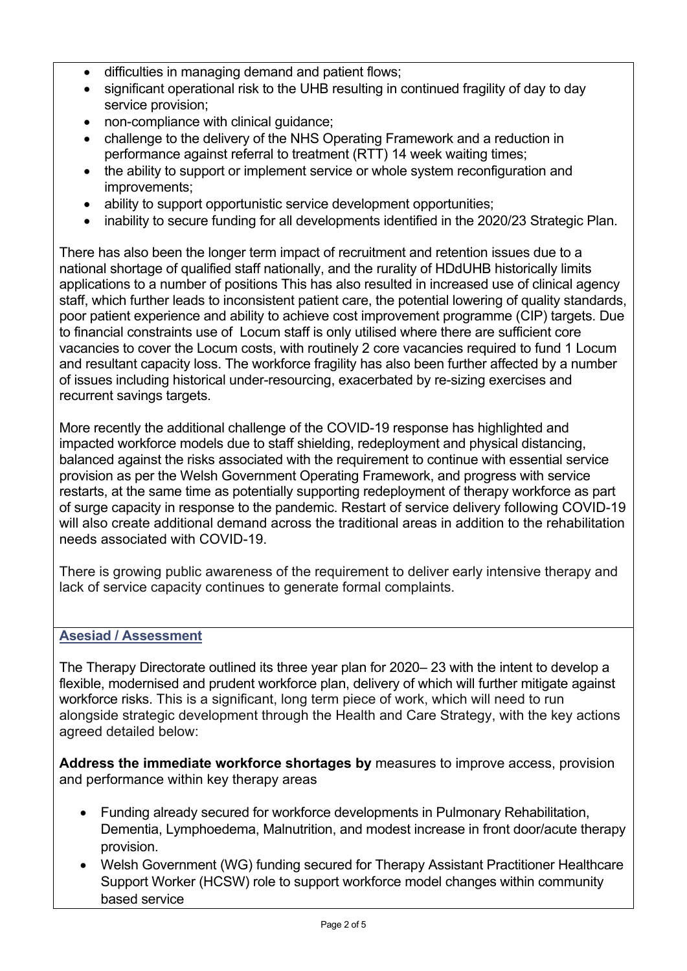- difficulties in managing demand and patient flows;
- significant operational risk to the UHB resulting in continued fragility of day to day service provision;
- non-compliance with clinical quidance;
- challenge to the delivery of the NHS Operating Framework and a reduction in performance against referral to treatment (RTT) 14 week waiting times;
- the ability to support or implement service or whole system reconfiguration and improvements;
- ability to support opportunistic service development opportunities:
- inability to secure funding for all developments identified in the 2020/23 Strategic Plan.

There has also been the longer term impact of recruitment and retention issues due to a national shortage of qualified staff nationally, and the rurality of HDdUHB historically limits applications to a number of positions This has also resulted in increased use of clinical agency staff, which further leads to inconsistent patient care, the potential lowering of quality standards, poor patient experience and ability to achieve cost improvement programme (CIP) targets. Due to financial constraints use of Locum staff is only utilised where there are sufficient core vacancies to cover the Locum costs, with routinely 2 core vacancies required to fund 1 Locum and resultant capacity loss. The workforce fragility has also been further affected by a number of issues including historical under-resourcing, exacerbated by re-sizing exercises and recurrent savings targets.

More recently the additional challenge of the COVID-19 response has highlighted and impacted workforce models due to staff shielding, redeployment and physical distancing, balanced against the risks associated with the requirement to continue with essential service provision as per the Welsh Government Operating Framework, and progress with service restarts, at the same time as potentially supporting redeployment of therapy workforce as part of surge capacity in response to the pandemic. Restart of service delivery following COVID-19 will also create additional demand across the traditional areas in addition to the rehabilitation needs associated with COVID-19.

There is growing public awareness of the requirement to deliver early intensive therapy and lack of service capacity continues to generate formal complaints.

#### **Asesiad / Assessment**

The Therapy Directorate outlined its three year plan for 2020– 23 with the intent to develop a flexible, modernised and prudent workforce plan, delivery of which will further mitigate against workforce risks. This is a significant, long term piece of work, which will need to run alongside strategic development through the Health and Care Strategy, with the key actions agreed detailed below:

**Address the immediate workforce shortages by** measures to improve access, provision and performance within key therapy areas

- Funding already secured for workforce developments in Pulmonary Rehabilitation, Dementia, Lymphoedema, Malnutrition, and modest increase in front door/acute therapy provision.
- Welsh Government (WG) funding secured for Therapy Assistant Practitioner Healthcare Support Worker (HCSW) role to support workforce model changes within community based service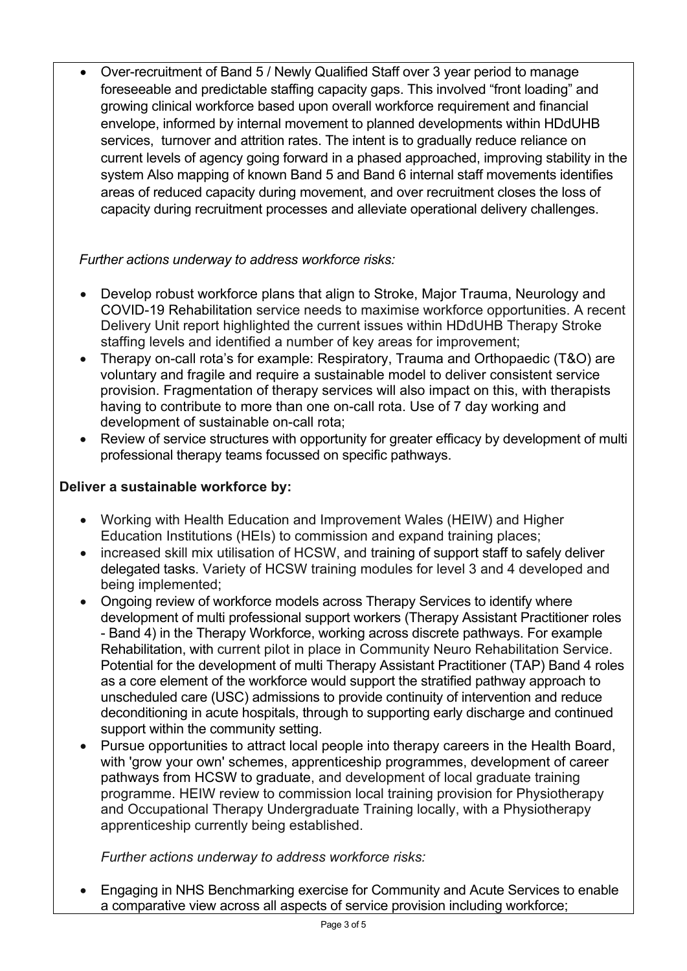Over-recruitment of Band 5 / Newly Qualified Staff over 3 year period to manage foreseeable and predictable staffing capacity gaps. This involved "front loading" and growing clinical workforce based upon overall workforce requirement and financial envelope, informed by internal movement to planned developments within HDdUHB services, turnover and attrition rates. The intent is to gradually reduce reliance on current levels of agency going forward in a phased approached, improving stability in the system Also mapping of known Band 5 and Band 6 internal staff movements identifies areas of reduced capacity during movement, and over recruitment closes the loss of capacity during recruitment processes and alleviate operational delivery challenges.

## *Further actions underway to address workforce risks:*

- Develop robust workforce plans that align to Stroke, Major Trauma, Neurology and COVID-19 Rehabilitation service needs to maximise workforce opportunities. A recent Delivery Unit report highlighted the current issues within HDdUHB Therapy Stroke staffing levels and identified a number of key areas for improvement;
- Therapy on-call rota's for example: Respiratory, Trauma and Orthopaedic (T&O) are voluntary and fragile and require a sustainable model to deliver consistent service provision. Fragmentation of therapy services will also impact on this, with therapists having to contribute to more than one on-call rota. Use of 7 day working and development of sustainable on-call rota;
- Review of service structures with opportunity for greater efficacy by development of multi professional therapy teams focussed on specific pathways.

## **Deliver a sustainable workforce by:**

- Working with Health Education and Improvement Wales (HEIW) and Higher Education Institutions (HEIs) to commission and expand training places;
- increased skill mix utilisation of HCSW, and training of support staff to safely deliver delegated tasks. Variety of HCSW training modules for level 3 and 4 developed and being implemented;
- Ongoing review of workforce models across Therapy Services to identify where development of multi professional support workers (Therapy Assistant Practitioner roles - Band 4) in the Therapy Workforce, working across discrete pathways. For example Rehabilitation, with current pilot in place in Community Neuro Rehabilitation Service. Potential for the development of multi Therapy Assistant Practitioner (TAP) Band 4 roles as a core element of the workforce would support the stratified pathway approach to unscheduled care (USC) admissions to provide continuity of intervention and reduce deconditioning in acute hospitals, through to supporting early discharge and continued support within the community setting.
- Pursue opportunities to attract local people into therapy careers in the Health Board, with 'grow your own' schemes, apprenticeship programmes, development of career pathways from HCSW to graduate, and development of local graduate training programme. HEIW review to commission local training provision for Physiotherapy and Occupational Therapy Undergraduate Training locally, with a Physiotherapy apprenticeship currently being established.

*Further actions underway to address workforce risks:*

 Engaging in NHS Benchmarking exercise for Community and Acute Services to enable a comparative view across all aspects of service provision including workforce;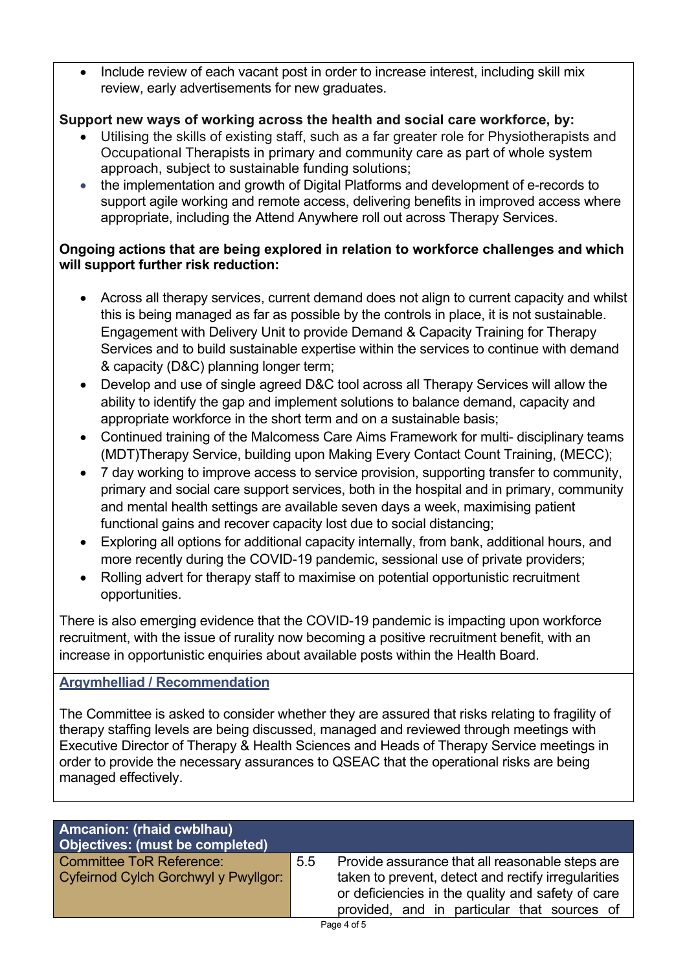Include review of each vacant post in order to increase interest, including skill mix review, early advertisements for new graduates.

# **Support new ways of working across the health and social care workforce, by:**

- Utilising the skills of existing staff, such as a far greater role for Physiotherapists and Occupational Therapists in primary and community care as part of whole system approach, subject to sustainable funding solutions;
- the implementation and growth of Digital Platforms and development of e-records to support agile working and remote access, delivering benefits in improved access where appropriate, including the Attend Anywhere roll out across Therapy Services.

## **Ongoing actions that are being explored in relation to workforce challenges and which will support further risk reduction:**

- Across all therapy services, current demand does not align to current capacity and whilst this is being managed as far as possible by the controls in place, it is not sustainable. Engagement with Delivery Unit to provide Demand & Capacity Training for Therapy Services and to build sustainable expertise within the services to continue with demand & capacity (D&C) planning longer term;
- Develop and use of single agreed D&C tool across all Therapy Services will allow the ability to identify the gap and implement solutions to balance demand, capacity and appropriate workforce in the short term and on a sustainable basis;
- Continued training of the Malcomess Care Aims Framework for multi- disciplinary teams (MDT)Therapy Service, building upon Making Every Contact Count Training, (MECC);
- 7 day working to improve access to service provision, supporting transfer to community, primary and social care support services, both in the hospital and in primary, community and mental health settings are available seven days a week, maximising patient functional gains and recover capacity lost due to social distancing;
- Exploring all options for additional capacity internally, from bank, additional hours, and more recently during the COVID-19 pandemic, sessional use of private providers;
- Rolling advert for therapy staff to maximise on potential opportunistic recruitment opportunities.

There is also emerging evidence that the COVID-19 pandemic is impacting upon workforce recruitment, with the issue of rurality now becoming a positive recruitment benefit, with an increase in opportunistic enquiries about available posts within the Health Board.

## **Argymhelliad / Recommendation**

The Committee is asked to consider whether they are assured that risks relating to fragility of therapy staffing levels are being discussed, managed and reviewed through meetings with Executive Director of Therapy & Health Sciences and Heads of Therapy Service meetings in order to provide the necessary assurances to QSEAC that the operational risks are being managed effectively.

| <b>Committee ToR Reference:</b><br>Provide assurance that all reasonable steps are<br>5.5<br>taken to prevent, detect and rectify irregularities<br>Cyfeirnod Cylch Gorchwyl y Pwyllgor: |  |
|------------------------------------------------------------------------------------------------------------------------------------------------------------------------------------------|--|
| or deficiencies in the quality and safety of care<br>provided, and in particular that sources of                                                                                         |  |